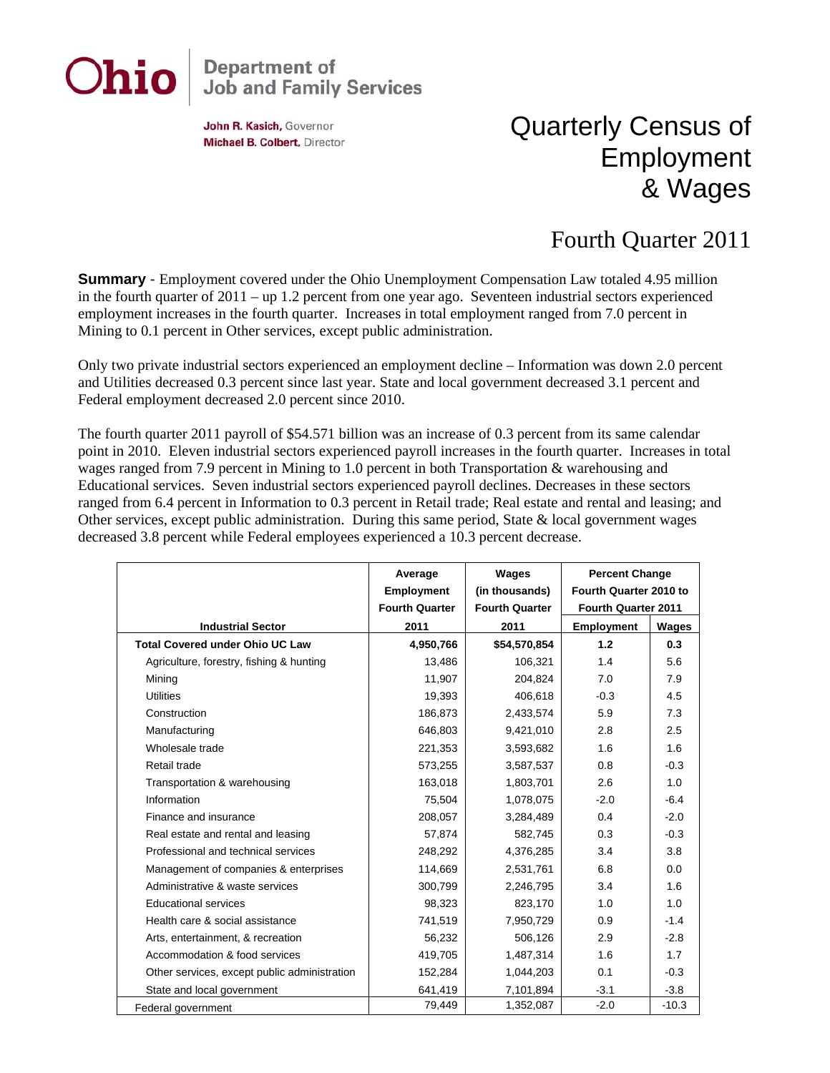

## **Department of<br>Job and Family Services**

John R. Kasich, Governor Michael B. Colbert, Director

## Quarterly Census of Employment & Wages

## Fourth Quarter 2011

**Summary** - Employment covered under the Ohio Unemployment Compensation Law totaled 4.95 million in the fourth quarter of 2011 – up 1.2 percent from one year ago. Seventeen industrial sectors experienced employment increases in the fourth quarter. Increases in total employment ranged from 7.0 percent in Mining to 0.1 percent in Other services, except public administration.

Only two private industrial sectors experienced an employment decline – Information was down 2.0 percent and Utilities decreased 0.3 percent since last year. State and local government decreased 3.1 percent and Federal employment decreased 2.0 percent since 2010.

The fourth quarter 2011 payroll of \$54.571 billion was an increase of 0.3 percent from its same calendar point in 2010. Eleven industrial sectors experienced payroll increases in the fourth quarter. Increases in total wages ranged from 7.9 percent in Mining to 1.0 percent in both Transportation & warehousing and Educational services. Seven industrial sectors experienced payroll declines. Decreases in these sectors ranged from 6.4 percent in Information to 0.3 percent in Retail trade; Real estate and rental and leasing; and Other services, except public administration. During this same period, State & local government wages decreased 3.8 percent while Federal employees experienced a 10.3 percent decrease.

|                                              | Average                                    | Wages                                   | <b>Percent Change</b><br>Fourth Quarter 2010 to |         |
|----------------------------------------------|--------------------------------------------|-----------------------------------------|-------------------------------------------------|---------|
|                                              | <b>Employment</b><br><b>Fourth Quarter</b> | (in thousands)<br><b>Fourth Quarter</b> | Fourth Quarter 2011                             |         |
| <b>Industrial Sector</b>                     | 2011                                       | 2011                                    | <b>Employment</b>                               | Wages   |
| <b>Total Covered under Ohio UC Law</b>       | 4,950,766                                  | \$54,570,854                            | 1.2                                             | 0.3     |
| Agriculture, forestry, fishing & hunting     | 13,486                                     | 106,321                                 | 1.4                                             | 5.6     |
| Mining                                       | 11,907                                     | 204,824                                 | 7.0                                             | 7.9     |
| <b>Utilities</b>                             | 19,393                                     | 406,618                                 | $-0.3$                                          | 4.5     |
| Construction                                 | 186,873                                    | 2,433,574                               | 5.9                                             | 7.3     |
| Manufacturing                                | 646,803                                    | 9,421,010                               | 2.8                                             | 2.5     |
| Wholesale trade                              | 221,353                                    | 3,593,682                               | 1.6                                             | 1.6     |
| Retail trade                                 | 573,255                                    | 3,587,537                               | 0.8                                             | $-0.3$  |
| Transportation & warehousing                 | 163,018                                    | 1,803,701                               | 2.6                                             | 1.0     |
| Information                                  | 75,504                                     | 1,078,075                               | $-2.0$                                          | $-6.4$  |
| Finance and insurance                        | 208,057                                    | 3,284,489                               | 0.4                                             | $-2.0$  |
| Real estate and rental and leasing           | 57,874                                     | 582,745                                 | 0.3                                             | $-0.3$  |
| Professional and technical services          | 248,292                                    | 4,376,285                               | 3.4                                             | 3.8     |
| Management of companies & enterprises        | 114,669                                    | 2,531,761                               | 6.8                                             | 0.0     |
| Administrative & waste services              | 300,799                                    | 2,246,795                               | 3.4                                             | 1.6     |
| Educational services                         | 98,323                                     | 823,170                                 | 1.0                                             | 1.0     |
| Health care & social assistance              | 741,519                                    | 7,950,729                               | 0.9                                             | $-1.4$  |
| Arts, entertainment, & recreation            | 56,232                                     | 506,126                                 | 2.9                                             | $-2.8$  |
| Accommodation & food services                | 419,705                                    | 1,487,314                               | 1.6                                             | 1.7     |
| Other services, except public administration | 152,284                                    | 1,044,203                               | 0.1                                             | $-0.3$  |
| State and local government                   | 641,419                                    | 7,101,894                               | $-3.1$                                          | $-3.8$  |
| Federal government                           | 79,449                                     | 1,352,087                               | $-2.0$                                          | $-10.3$ |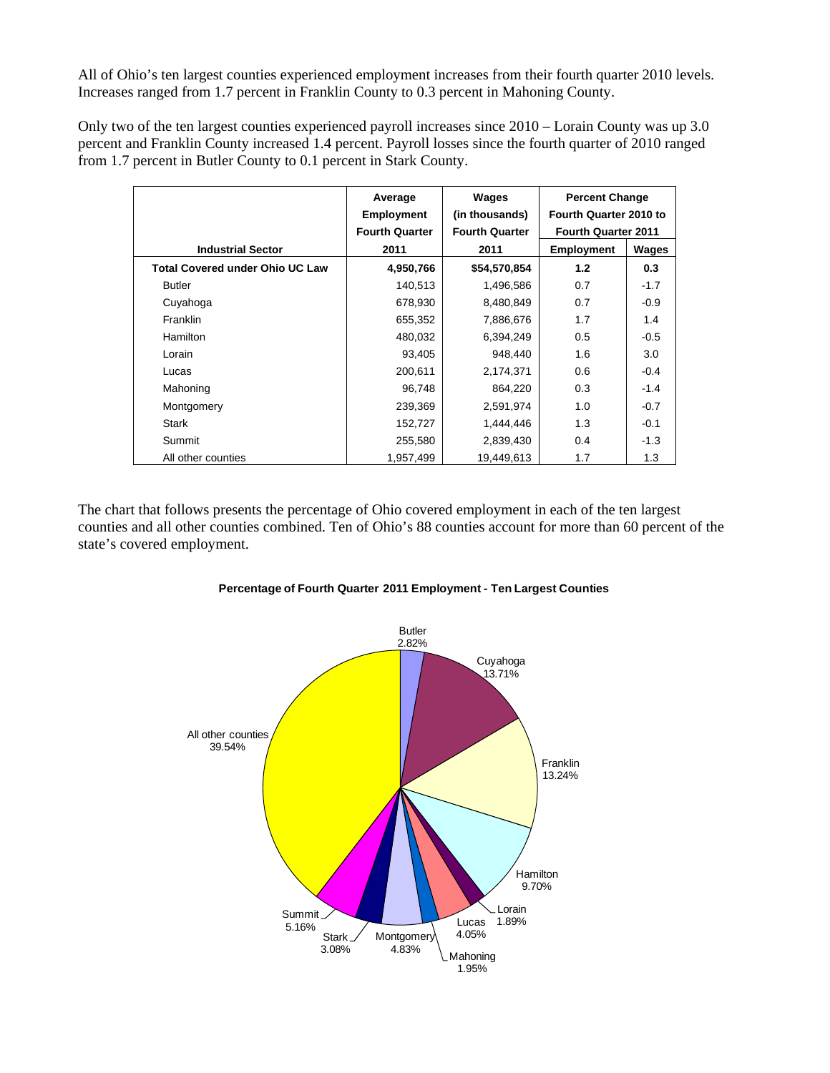All of Ohio's ten largest counties experienced employment increases from their fourth quarter 2010 levels. Increases ranged from 1.7 percent in Franklin County to 0.3 percent in Mahoning County.

Only two of the ten largest counties experienced payroll increases since 2010 – Lorain County was up 3.0 percent and Franklin County increased 1.4 percent. Payroll losses since the fourth quarter of 2010 ranged from 1.7 percent in Butler County to 0.1 percent in Stark County.

|                                        | Average               | Wages                 | <b>Percent Change</b>      |        |
|----------------------------------------|-----------------------|-----------------------|----------------------------|--------|
|                                        | <b>Employment</b>     | (in thousands)        | Fourth Quarter 2010 to     |        |
|                                        | <b>Fourth Quarter</b> | <b>Fourth Quarter</b> | <b>Fourth Quarter 2011</b> |        |
| <b>Industrial Sector</b>               | 2011                  | 2011                  | <b>Employment</b>          | Wages  |
| <b>Total Covered under Ohio UC Law</b> | 4,950,766             | \$54,570,854          | 1.2                        | 0.3    |
| <b>Butler</b>                          | 140,513               | 1,496,586             | 0.7                        | $-1.7$ |
| Cuyahoga                               | 678,930               | 8,480,849             | 0.7                        | $-0.9$ |
| Franklin                               | 655,352               | 7,886,676             | 1.7                        | 1.4    |
| <b>Hamilton</b>                        | 480,032               | 6,394,249             | 0.5                        | $-0.5$ |
| Lorain                                 | 93,405                | 948,440               | 1.6                        | 3.0    |
| Lucas                                  | 200,611               | 2,174,371             | 0.6                        | $-0.4$ |
| Mahoning                               | 96,748                | 864,220               | 0.3                        | $-1.4$ |
| Montgomery                             | 239,369               | 2,591,974             | 1.0                        | $-0.7$ |
| <b>Stark</b>                           | 152,727               | 1,444,446             | 1.3                        | $-0.1$ |
| Summit                                 | 255,580               | 2,839,430             | 0.4                        | $-1.3$ |
| All other counties                     | 1,957,499             | 19,449,613            | 1.7                        | 1.3    |

The chart that follows presents the percentage of Ohio covered employment in each of the ten largest counties and all other counties combined. Ten of Ohio's 88 counties account for more than 60 percent of the state's covered employment.



## **Percentage of Fourth Quarter 2011 Employment - Ten Largest Counties**